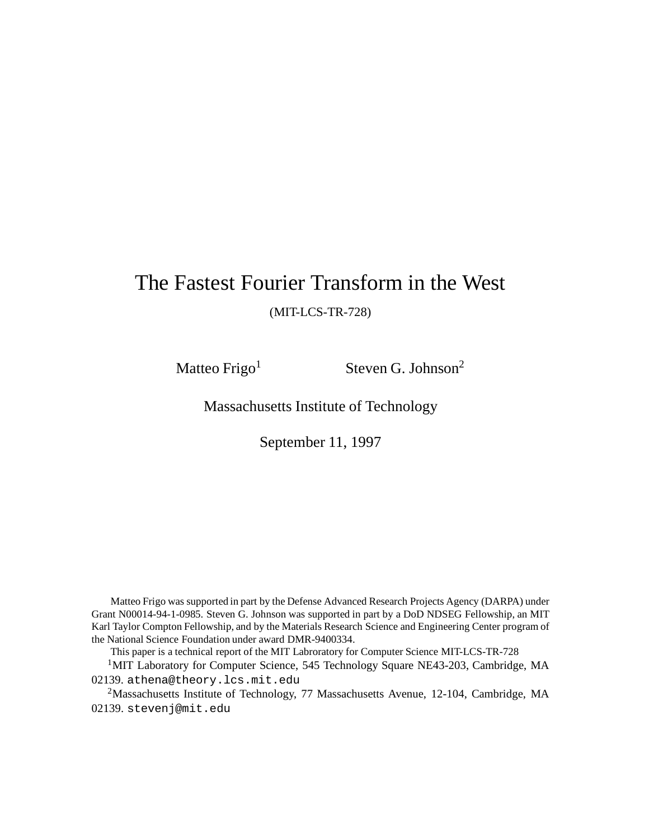# The Fastest Fourier Transform in the West

(MIT-LCS-TR-728)

Matteo Frigo<sup>1</sup> Steven G. Johnson<sup>2</sup>

Massachusetts Institute of Technology

September 11, 1997

Matteo Frigo was supported in part by the Defense Advanced Research Projects Agency (DARPA) under Grant N00014-94-1-0985. Steven G. Johnson was supported in part by a DoD NDSEG Fellowship, an MIT Karl Taylor Compton Fellowship, and by the Materials Research Science and Engineering Center program of the National Science Foundation under award DMR-9400334.

This paper is a technical report of the MIT Labroratory for Computer Science MIT-LCS-TR-728

<sup>1</sup>MIT Laboratory for Computer Science, 545 Technology Square NE43-203, Cambridge, MA 02139. athena@theory.lcs.mit.edu

2Massachusetts Institute of Technology, 77 Massachusetts Avenue, 12-104, Cambridge, MA 02139. stevenj@mit.edu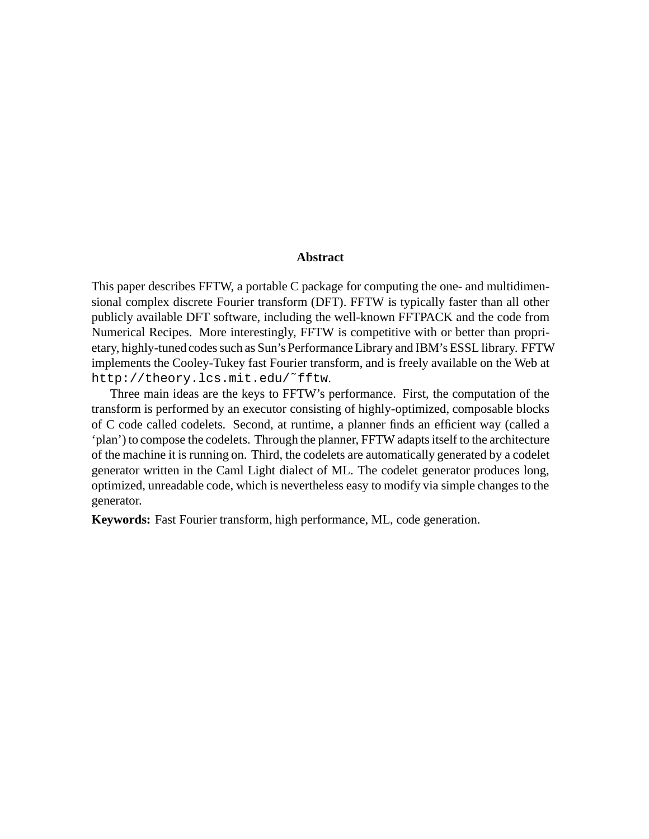#### **Abstract**

This paper describes FFTW, a portable C package for computing the one- and multidimensional complex discrete Fourier transform (DFT). FFTW is typically faster than all other publicly available DFT software, including the well-known FFTPACK and the code from Numerical Recipes. More interestingly, FFTW is competitive with or better than proprietary, highly-tuned codes such as Sun's Performance Library and IBM's ESSL library. FFTW implements the Cooley-Tukey fast Fourier transform, and is freely available on the Web at http://theory.lcs.mit.edu/˜fftw.

Three main ideas are the keys to FFTW's performance. First, the computation of the transform is performed by an executor consisting of highly-optimized, composable blocks of C code called codelets. Second, at runtime, a planner finds an efficient way (called a 'plan') to compose the codelets. Through the planner, FFTW adapts itself to the architecture of the machine it is running on. Third, the codelets are automatically generated by a codelet generator written in the Caml Light dialect of ML. The codelet generator produces long, optimized, unreadable code, which is nevertheless easy to modify via simple changes to the generator.

**Keywords:** Fast Fourier transform, high performance, ML, code generation.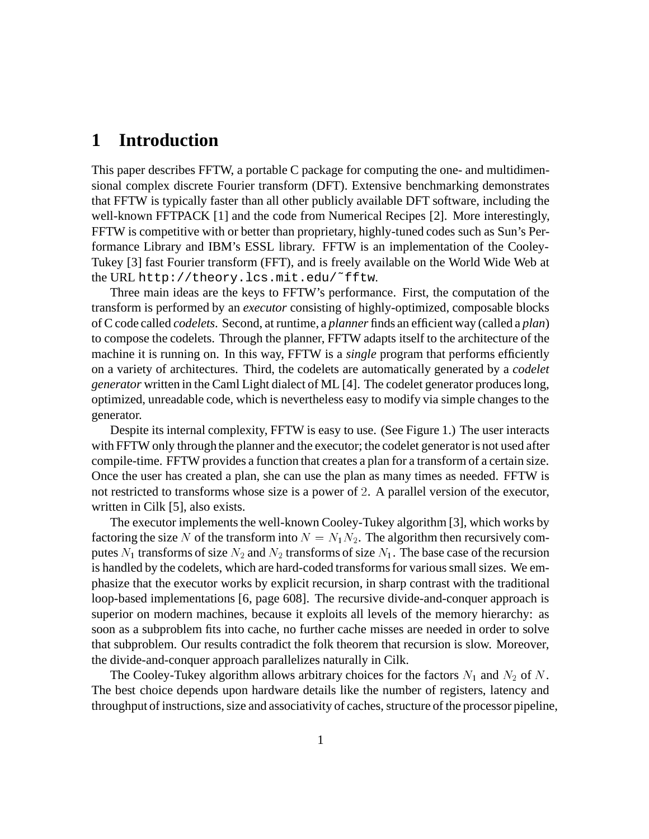#### **1 Introduction**

This paper describes FFTW, a portable C package for computing the one- and multidimensional complex discrete Fourier transform (DFT). Extensive benchmarking demonstrates that FFTW is typically faster than all other publicly available DFT software, including the well-known FFTPACK [1] and the code from Numerical Recipes [2]. More interestingly, FFTW is competitive with or better than proprietary, highly-tuned codes such as Sun's Performance Library and IBM's ESSL library. FFTW is an implementation of the Cooley-Tukey [3] fast Fourier transform (FFT), and is freely available on the World Wide Web at the URL http://theory.lcs.mit.edu/˜fftw.

Three main ideas are the keys to FFTW's performance. First, the computation of the transform is performed by an *executor* consisting of highly-optimized, composable blocks of C code called *codelets*. Second, at runtime, a *planner* finds an efficient way (called a *plan*) to compose the codelets. Through the planner, FFTW adapts itself to the architecture of the machine it is running on. In this way, FFTW is a *single* program that performs efficiently on a variety of architectures. Third, the codelets are automatically generated by a *codelet generator* written in the Caml Light dialect of ML [4]. The codelet generator produces long, optimized, unreadable code, which is nevertheless easy to modify via simple changes to the generator.

Despite its internal complexity, FFTW is easy to use. (See Figure 1.) The user interacts with FFTW only through the planner and the executor; the codelet generator is not used after compile-time. FFTW provides a function that creates a plan for a transform of a certain size. Once the user has created a plan, she can use the plan as many times as needed. FFTW is not restricted to transforms whose size is a power of <sup>2</sup>. A parallel version of the executor, written in Cilk [5], also exists.

The executor implements the well-known Cooley-Tukey algorithm [3], which works by factoring the size N of the transform into  $N = N_1 N_2$ . The algorithm then recursively computes  $N_1$  transforms of size  $N_2$  and  $N_2$  transforms of size  $N_1$ . The base case of the recursion is handled by the codelets, which are hard-coded transforms for various small sizes. We emphasize that the executor works by explicit recursion, in sharp contrast with the traditional loop-based implementations [6, page 608]. The recursive divide-and-conquer approach is superior on modern machines, because it exploits all levels of the memory hierarchy: as soon as a subproblem fits into cache, no further cache misses are needed in order to solve that subproblem. Our results contradict the folk theorem that recursion is slow. Moreover, the divide-and-conquer approach parallelizes naturally in Cilk.

The Cooley-Tukey algorithm allows arbitrary choices for the factors  $N_1$  and  $N_2$  of N. The best choice depends upon hardware details like the number of registers, latency and throughput of instructions, size and associativity of caches, structure of the processor pipeline,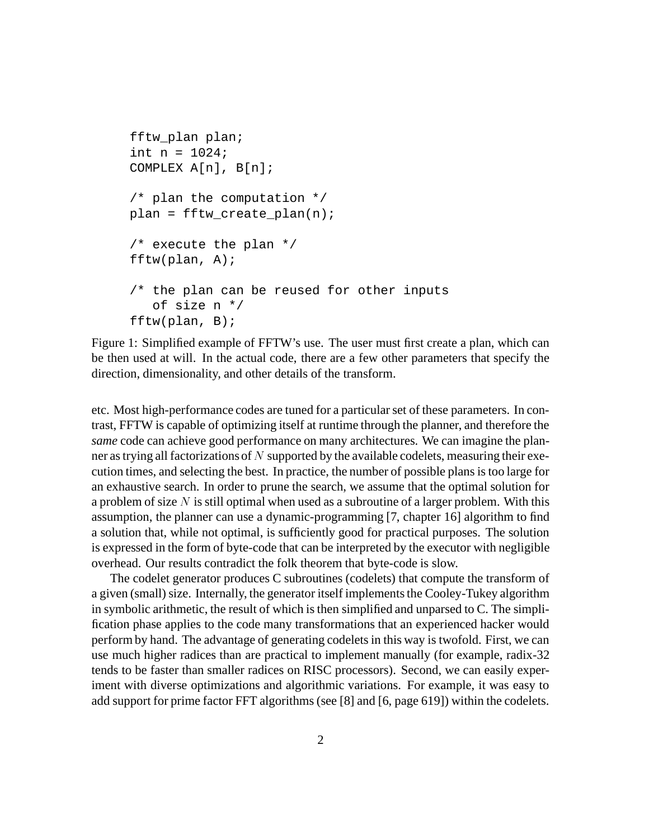```
fftw_plan plan;
int n = 1024;
COMPLEX A[n], B[n];
/* plan the computation */
plan = fftw_create_plan(n);
/* execute the plan */
fftw(plan, A);/* the plan can be reused for other inputs
   of size n */
fftw(plan, B);
```
Figure 1: Simplified example of FFTW's use. The user must first create a plan, which can be then used at will. In the actual code, there are a few other parameters that specify the direction, dimensionality, and other details of the transform.

etc. Most high-performance codes are tuned for a particular set of these parameters. In contrast, FFTW is capable of optimizing itself at runtime through the planner, and therefore the *same* code can achieve good performance on many architectures. We can imagine the planner as trying all factorizations of  $N$  supported by the available codelets, measuring their execution times, and selecting the best. In practice, the number of possible plans is too large for an exhaustive search. In order to prune the search, we assume that the optimal solution for a problem of size  $N$  is still optimal when used as a subroutine of a larger problem. With this assumption, the planner can use a dynamic-programming [7, chapter 16] algorithm to find a solution that, while not optimal, is sufficiently good for practical purposes. The solution is expressed in the form of byte-code that can be interpreted by the executor with negligible overhead. Our results contradict the folk theorem that byte-code is slow.

The codelet generator produces C subroutines (codelets) that compute the transform of a given (small) size. Internally, the generator itself implements the Cooley-Tukey algorithm in symbolic arithmetic, the result of which is then simplified and unparsed to C. The simplification phase applies to the code many transformations that an experienced hacker would perform by hand. The advantage of generating codelets in this way is twofold. First, we can use much higher radices than are practical to implement manually (for example, radix-32 tends to be faster than smaller radices on RISC processors). Second, we can easily experiment with diverse optimizations and algorithmic variations. For example, it was easy to add support for prime factor FFT algorithms (see [8] and [6, page 619]) within the codelets.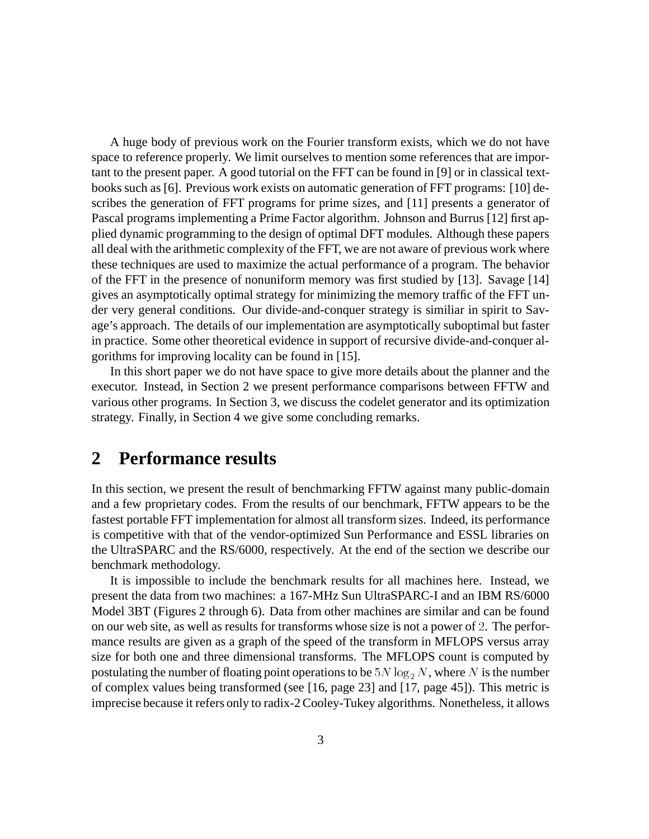A huge body of previous work on the Fourier transform exists, which we do not have space to reference properly. We limit ourselves to mention some references that are important to the present paper. A good tutorial on the FFT can be found in [9] or in classical textbooks such as [6]. Previous work exists on automatic generation of FFT programs: [10] describes the generation of FFT programs for prime sizes, and [11] presents a generator of Pascal programs implementing a Prime Factor algorithm. Johnson and Burrus [12] first applied dynamic programming to the design of optimal DFT modules. Although these papers all deal with the arithmetic complexity of the FFT, we are not aware of previous work where these techniques are used to maximize the actual performance of a program. The behavior of the FFT in the presence of nonuniform memory was first studied by [13]. Savage [14] gives an asymptotically optimal strategy for minimizing the memory traffic of the FFT under very general conditions. Our divide-and-conquer strategy is similiar in spirit to Savage's approach. The details of our implementation are asymptotically suboptimal but faster in practice. Some other theoretical evidence in support of recursive divide-and-conquer algorithms for improving locality can be found in [15].

In this short paper we do not have space to give more details about the planner and the executor. Instead, in Section 2 we present performance comparisons between FFTW and various other programs. In Section 3, we discuss the codelet generator and its optimization strategy. Finally, in Section 4 we give some concluding remarks.

### **2 Performance results**

In this section, we present the result of benchmarking FFTW against many public-domain and a few proprietary codes. From the results of our benchmark, FFTW appears to be the fastest portable FFT implementation for almost all transform sizes. Indeed, its performance is competitive with that of the vendor-optimized Sun Performance and ESSL libraries on the UltraSPARC and the RS/6000, respectively. At the end of the section we describe our benchmark methodology.

It is impossible to include the benchmark results for all machines here. Instead, we present the data from two machines: a 167-MHz Sun UltraSPARC-I and an IBM RS/6000 Model 3BT (Figures 2 through 6). Data from other machines are similar and can be found on our web site, as well as results for transforms whose size is not a power of <sup>2</sup>. The performance results are given as a graph of the speed of the transform in MFLOPS versus array size for both one and three dimensional transforms. The MFLOPS count is computed by postulating the number of floating point operations to be  $5N \log_2 N$ , where N is the number of complex values being transformed (see [16, page 23] and [17, page 45]). This metric is imprecise because it refers only to radix-2 Cooley-Tukey algorithms. Nonetheless, it allows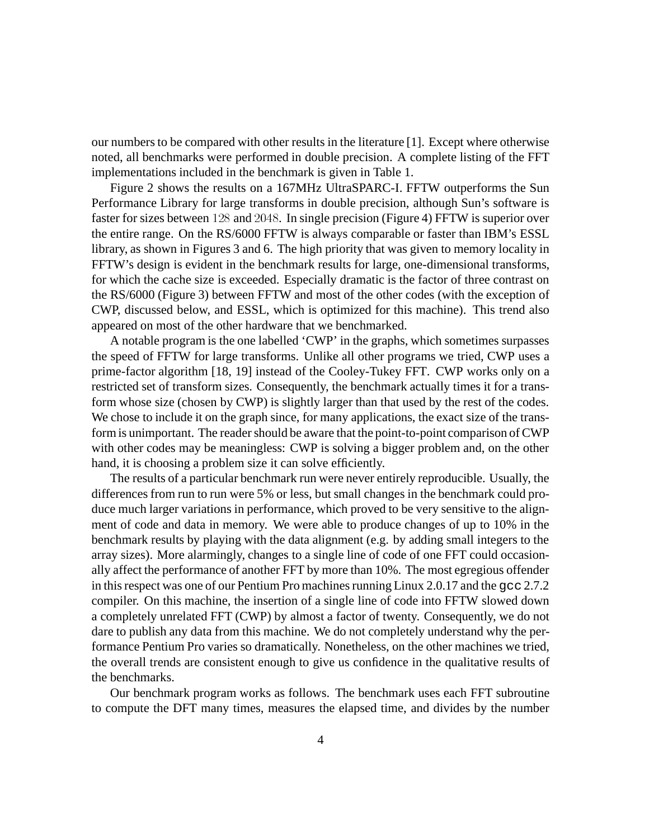our numbers to be compared with other results in the literature [1]. Except where otherwise noted, all benchmarks were performed in double precision. A complete listing of the FFT implementations included in the benchmark is given in Table 1.

Figure 2 shows the results on a 167MHz UltraSPARC-I. FFTW outperforms the Sun Performance Library for large transforms in double precision, although Sun's software is faster for sizes between <sup>128</sup> and <sup>2048</sup>. In single precision (Figure 4) FFTW is superior over the entire range. On the RS/6000 FFTW is always comparable or faster than IBM's ESSL library, as shown in Figures 3 and 6. The high priority that was given to memory locality in FFTW's design is evident in the benchmark results for large, one-dimensional transforms, for which the cache size is exceeded. Especially dramatic is the factor of three contrast on the RS/6000 (Figure 3) between FFTW and most of the other codes (with the exception of CWP, discussed below, and ESSL, which is optimized for this machine). This trend also appeared on most of the other hardware that we benchmarked.

A notable program is the one labelled 'CWP' in the graphs, which sometimes surpasses the speed of FFTW for large transforms. Unlike all other programs we tried, CWP uses a prime-factor algorithm [18, 19] instead of the Cooley-Tukey FFT. CWP works only on a restricted set of transform sizes. Consequently, the benchmark actually times it for a transform whose size (chosen by CWP) is slightly larger than that used by the rest of the codes. We chose to include it on the graph since, for many applications, the exact size of the transform is unimportant. The reader should be aware that the point-to-point comparison of CWP with other codes may be meaningless: CWP is solving a bigger problem and, on the other hand, it is choosing a problem size it can solve efficiently.

The results of a particular benchmark run were never entirely reproducible. Usually, the differences from run to run were 5% or less, but small changes in the benchmark could produce much larger variations in performance, which proved to be very sensitive to the alignment of code and data in memory. We were able to produce changes of up to 10% in the benchmark results by playing with the data alignment (e.g. by adding small integers to the array sizes). More alarmingly, changes to a single line of code of one FFT could occasionally affect the performance of another FFT by more than 10%. The most egregious offender in this respect was one of our Pentium Pro machines running Linux 2.0.17 and the gcc 2.7.2 compiler. On this machine, the insertion of a single line of code into FFTW slowed down a completely unrelated FFT (CWP) by almost a factor of twenty. Consequently, we do not dare to publish any data from this machine. We do not completely understand why the performance Pentium Pro varies so dramatically. Nonetheless, on the other machines we tried, the overall trends are consistent enough to give us confidence in the qualitative results of the benchmarks.

Our benchmark program works as follows. The benchmark uses each FFT subroutine to compute the DFT many times, measures the elapsed time, and divides by the number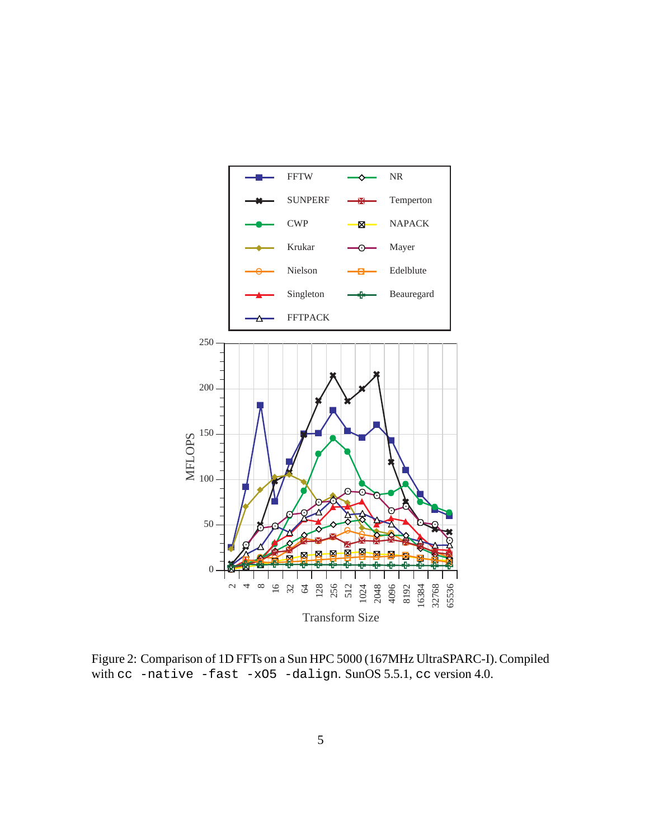

Transform Size

Figure 2: Comparison of 1D FFTs on a Sun HPC 5000 (167MHz UltraSPARC-I). Compiled with cc -native -fast -xO5 -dalign. SunOS 5.5.1, cc version 4.0.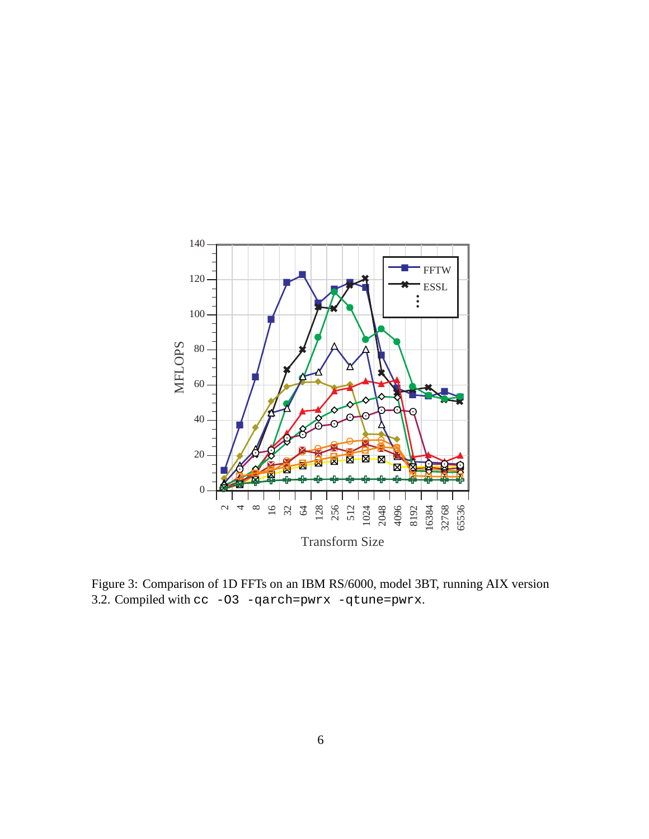

Figure 3: Comparison of 1D FFTs on an IBM RS/6000, model 3BT, running AIX version 3.2. Compiled with cc -O3 -qarch=pwrx -qtune=pwrx.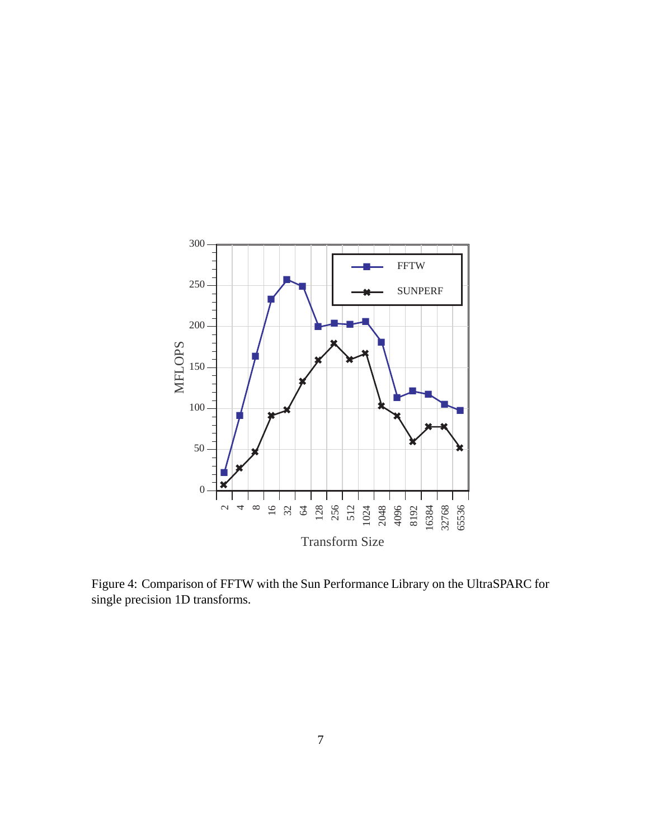

Figure 4: Comparison of FFTW with the Sun Performance Library on the UltraSPARC for single precision 1D transforms.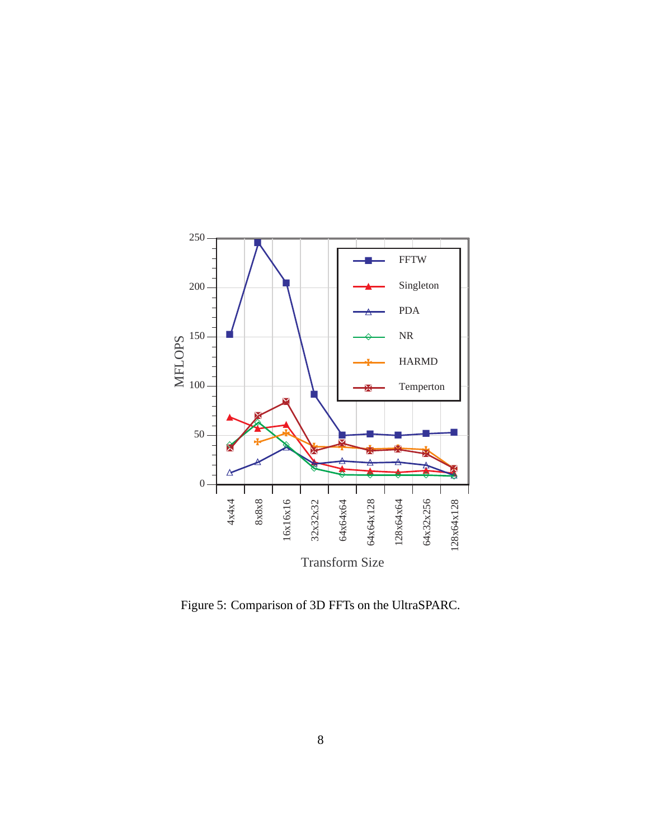

Figure 5: Comparison of 3D FFTs on the UltraSPARC.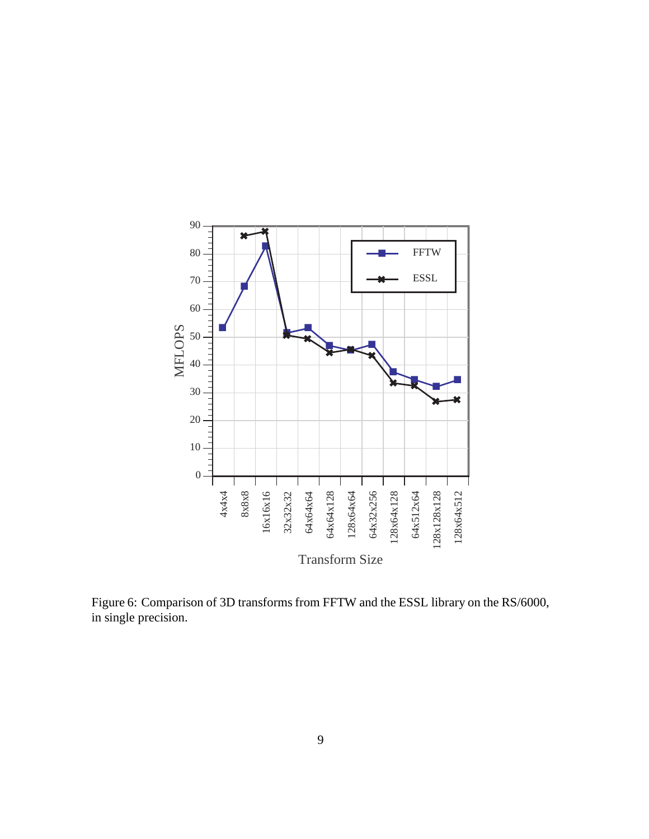

Figure 6: Comparison of 3D transforms from FFTW and the ESSL library on the RS/6000, in single precision.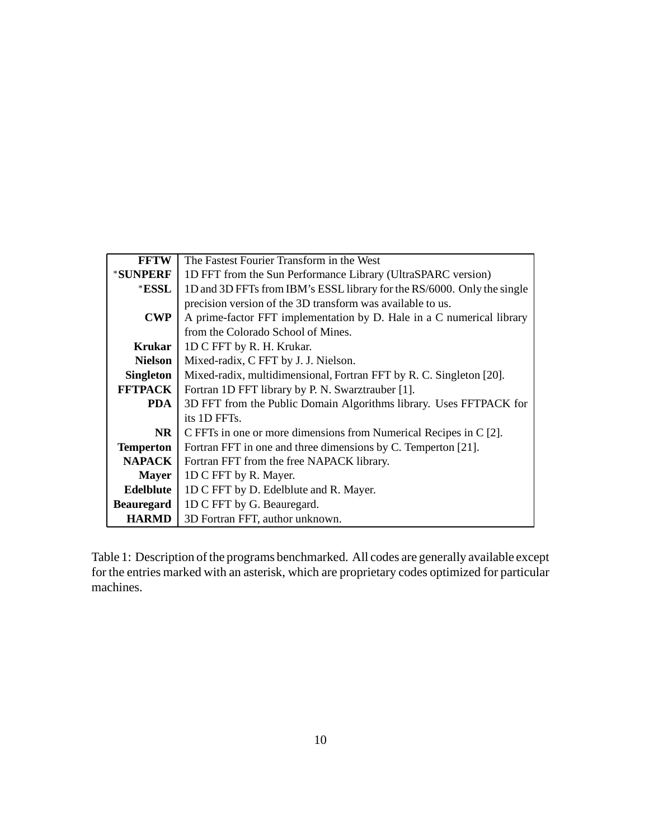| <b>FFTW</b>       | The Fastest Fourier Transform in the West                               |  |  |  |
|-------------------|-------------------------------------------------------------------------|--|--|--|
| *SUNPERF          | 1D FFT from the Sun Performance Library (UltraSPARC version)            |  |  |  |
| *ESSL             | 1D and 3D FFTs from IBM's ESSL library for the RS/6000. Only the single |  |  |  |
|                   | precision version of the 3D transform was available to us.              |  |  |  |
| <b>CWP</b>        | A prime-factor FFT implementation by D. Hale in a C numerical library   |  |  |  |
|                   | from the Colorado School of Mines.                                      |  |  |  |
| <b>Krukar</b>     | 1D C FFT by R. H. Krukar.                                               |  |  |  |
| <b>Nielson</b>    | Mixed-radix, C FFT by J. J. Nielson.                                    |  |  |  |
| <b>Singleton</b>  | Mixed-radix, multidimensional, Fortran FFT by R. C. Singleton [20].     |  |  |  |
| <b>FFTPACK</b>    | Fortran 1D FFT library by P. N. Swarztrauber [1].                       |  |  |  |
| <b>PDA</b>        | 3D FFT from the Public Domain Algorithms library. Uses FFTPACK for      |  |  |  |
|                   | its 1D FFTs.                                                            |  |  |  |
| NR.               | C FFTs in one or more dimensions from Numerical Recipes in C [2].       |  |  |  |
| <b>Temperton</b>  | Fortran FFT in one and three dimensions by C. Temperton [21].           |  |  |  |
| <b>NAPACK</b>     | Fortran FFT from the free NAPACK library.                               |  |  |  |
| <b>Mayer</b>      | 1D C FFT by R. Mayer.                                                   |  |  |  |
| Edelblute         | 1D C FFT by D. Edelblute and R. Mayer.                                  |  |  |  |
| <b>Beauregard</b> | 1D C FFT by G. Beauregard.                                              |  |  |  |
| <b>HARMD</b>      | 3D Fortran FFT, author unknown.                                         |  |  |  |

Table 1: Description of the programs benchmarked. All codes are generally available except for the entries marked with an asterisk, which are proprietary codes optimized for particular machines.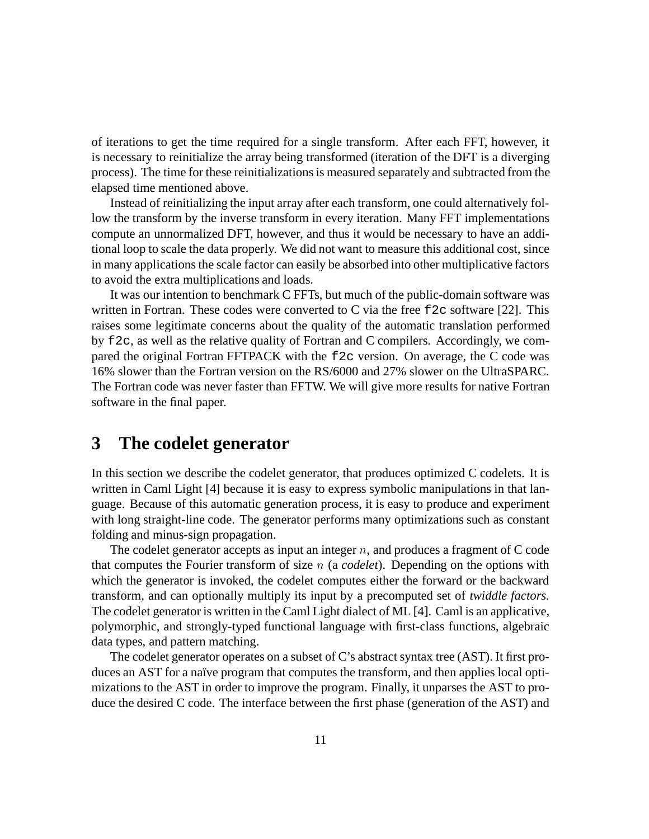of iterations to get the time required for a single transform. After each FFT, however, it is necessary to reinitialize the array being transformed (iteration of the DFT is a diverging process). The time for these reinitializations is measured separately and subtracted from the elapsed time mentioned above.

Instead of reinitializing the input array after each transform, one could alternatively follow the transform by the inverse transform in every iteration. Many FFT implementations compute an unnormalized DFT, however, and thus it would be necessary to have an additional loop to scale the data properly. We did not want to measure this additional cost, since in many applications the scale factor can easily be absorbed into other multiplicative factors to avoid the extra multiplications and loads.

It was our intention to benchmark C FFTs, but much of the public-domain software was written in Fortran. These codes were converted to C via the free  $\epsilon$  2c software [22]. This raises some legitimate concerns about the quality of the automatic translation performed by f2c, as well as the relative quality of Fortran and C compilers. Accordingly, we compared the original Fortran FFTPACK with the f2c version. On average, the C code was 16% slower than the Fortran version on the RS/6000 and 27% slower on the UltraSPARC. The Fortran code was never faster than FFTW. We will give more results for native Fortran software in the final paper.

### **3 The codelet generator**

In this section we describe the codelet generator, that produces optimized C codelets. It is written in Caml Light [4] because it is easy to express symbolic manipulations in that language. Because of this automatic generation process, it is easy to produce and experiment with long straight-line code. The generator performs many optimizations such as constant folding and minus-sign propagation.

The codelet generator accepts as input an integer  $n$ , and produces a fragment of C code that computes the Fourier transform of size <sup>n</sup> (a *codelet*). Depending on the options with which the generator is invoked, the codelet computes either the forward or the backward transform, and can optionally multiply its input by a precomputed set of *twiddle factors*. The codelet generator is written in the Caml Light dialect of ML [4]. Caml is an applicative, polymorphic, and strongly-typed functional language with first-class functions, algebraic data types, and pattern matching.

The codelet generator operates on a subset of C's abstract syntax tree (AST). It first produces an AST for a naïve program that computes the transform, and then applies local optimizations to the AST in order to improve the program. Finally, it unparses the AST to produce the desired C code. The interface between the first phase (generation of the AST) and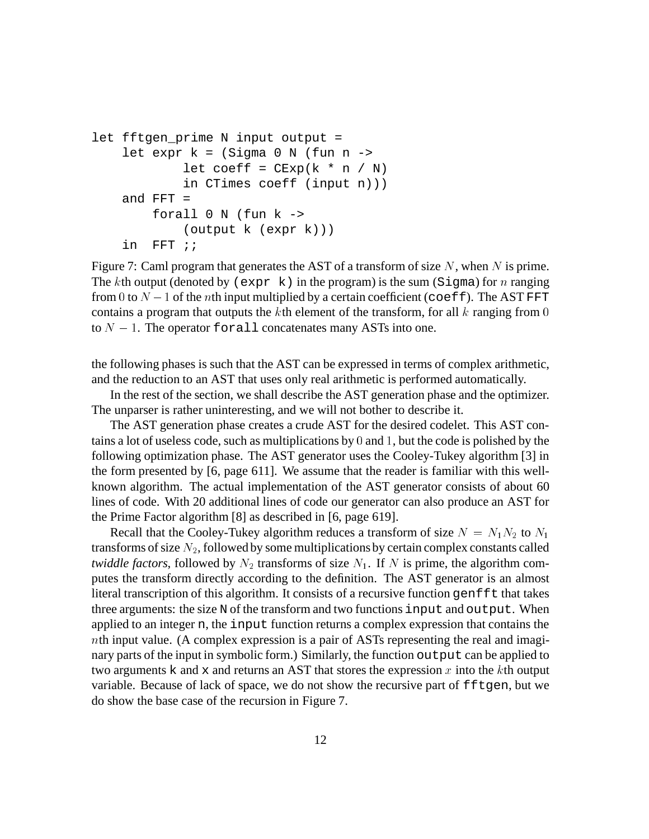```
let fftgen_prime N input output =
    let expr k = (Sigma 0 N (fun n -)let coeff = CExp(k * n / N)in CTimes coeff (input n)))
    and FFT =forall 0 \text{ N} (fun k \rightarrow(output k (expr k)))
    in FFT ;;
```
Figure 7: Caml program that generates the AST of a transform of size  $N$ , when  $N$  is prime. The kth output (denoted by (expr k) in the program) is the sum (Sigma) for n ranging from 0 to  $N-1$  of the *n*th input multiplied by a certain coefficient (coeff). The AST FFT contains a program that outputs the  $k$ th element of the transform, for all  $k$  ranging from 0 to  $N - 1$ . The operator for all concatenates many ASTs into one.

the following phases is such that the AST can be expressed in terms of complex arithmetic, and the reduction to an AST that uses only real arithmetic is performed automatically.

In the rest of the section, we shall describe the AST generation phase and the optimizer. The unparser is rather uninteresting, and we will not bother to describe it.

The AST generation phase creates a crude AST for the desired codelet. This AST contains a lot of useless code, such as multiplications by <sup>0</sup> and <sup>1</sup>, but the code is polished by the following optimization phase. The AST generator uses the Cooley-Tukey algorithm [3] in the form presented by [6, page 611]. We assume that the reader is familiar with this wellknown algorithm. The actual implementation of the AST generator consists of about 60 lines of code. With 20 additional lines of code our generator can also produce an AST for the Prime Factor algorithm [8] as described in [6, page 619].

Recall that the Cooley-Tukey algorithm reduces a transform of size  $N = N_1 N_2$  to  $N_1$ transforms of size  $N_2$ , followed by some multiplications by certain complex constants called *twiddle factors*, followed by  $N_2$  transforms of size  $N_1$ . If N is prime, the algorithm computes the transform directly according to the definition. The AST generator is an almost literal transcription of this algorithm. It consists of a recursive function genfft that takes three arguments: the size N of the transform and two functions input and output. When applied to an integer n, the input function returns a complex expression that contains the nth input value. (A complex expression is a pair of ASTs representing the real and imaginary parts of the input in symbolic form.) Similarly, the function output can be applied to two arguments k and x and returns an AST that stores the expression x into the kth output variable. Because of lack of space, we do not show the recursive part of  $fftgen$ , but we do show the base case of the recursion in Figure 7.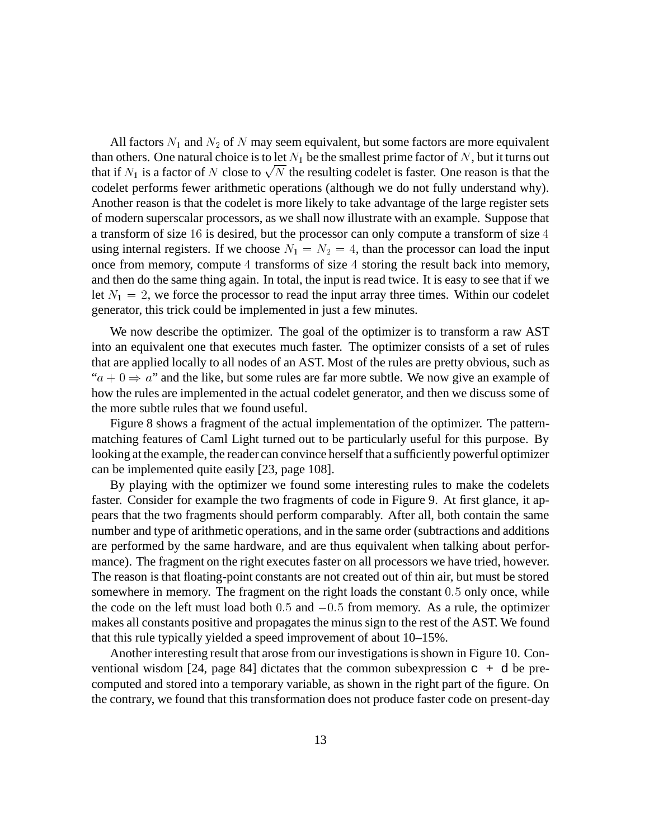All factors  $N_1$  and  $N_2$  of N may seem equivalent, but some factors are more equivalent than others. One natural choice is to let  $N_1$  be the smallest prime factor of N, but it turns out that if  $N_1$  is a factor of N close to  $\sqrt{N}$  the resulting codelet is faster. One reason is that the codelet performs fewer arithmetic operations (although we do not fully understand why). Another reason is that the codelet is more likely to take advantage of the large register sets of modern superscalar processors, as we shall now illustrate with an example. Suppose that a transform of size <sup>16</sup> is desired, but the processor can only compute a transform of size <sup>4</sup> using internal registers. If we choose  $N_1 = N_2 = 4$ , than the processor can load the input once from memory, compute <sup>4</sup> transforms of size <sup>4</sup> storing the result back into memory, and then do the same thing again. In total, the input is read twice. It is easy to see that if we let  $N_1 = 2$ , we force the processor to read the input array three times. Within our codelet generator, this trick could be implemented in just a few minutes.

We now describe the optimizer. The goal of the optimizer is to transform a raw AST into an equivalent one that executes much faster. The optimizer consists of a set of rules that are applied locally to all nodes of an AST. Most of the rules are pretty obvious, such as " $a + 0 \Rightarrow a$ " and the like, but some rules are far more subtle. We now give an example of how the rules are implemented in the actual codelet generator, and then we discuss some of the more subtle rules that we found useful.

Figure 8 shows a fragment of the actual implementation of the optimizer. The patternmatching features of Caml Light turned out to be particularly useful for this purpose. By looking at the example, the reader can convince herself that a sufficiently powerful optimizer can be implemented quite easily [23, page 108].

By playing with the optimizer we found some interesting rules to make the codelets faster. Consider for example the two fragments of code in Figure 9. At first glance, it appears that the two fragments should perform comparably. After all, both contain the same number and type of arithmetic operations, and in the same order (subtractions and additions are performed by the same hardware, and are thus equivalent when talking about performance). The fragment on the right executes faster on all processors we have tried, however. The reason is that floating-point constants are not created out of thin air, but must be stored somewhere in memory. The fragment on the right loads the constant 0:5 only once, while the code on the left must load both  $0.5$  and  $-0.5$  from memory. As a rule, the optimizer makes all constants positive and propagates the minus sign to the rest of the AST. We found that this rule typically yielded a speed improvement of about 10–15%.

Another interesting result that arose from our investigations is shown in Figure 10. Conventional wisdom [24, page 84] dictates that the common subexpression  $c + d$  be precomputed and stored into a temporary variable, as shown in the right part of the figure. On the contrary, we found that this transformation does not produce faster code on present-day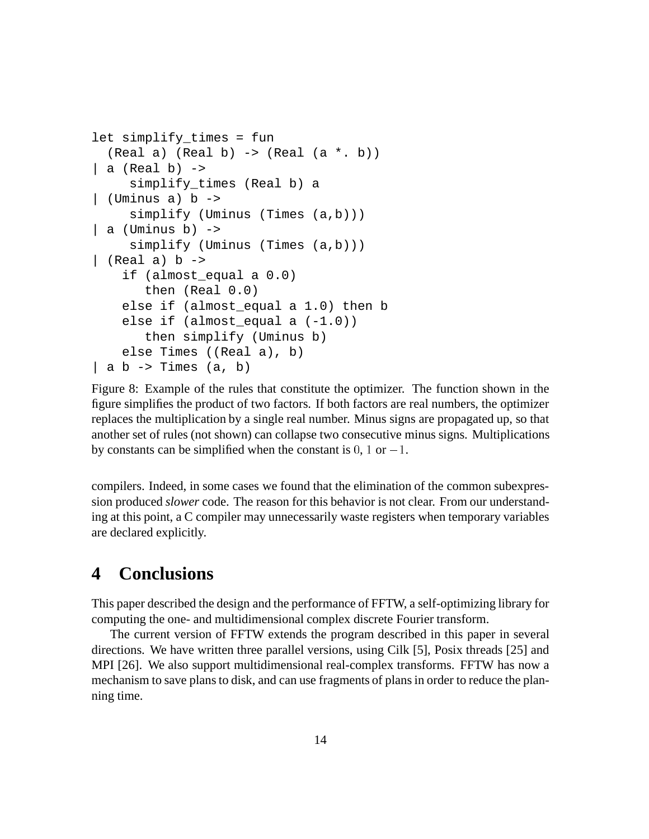```
let simplify_times = fun
  (Real a) (Real b) \rightarrow (Real (a * b))| a (Real b) - \ranglesimplify_times (Real b) a
| (Uminus a) b ->
     simplify (Uminus (Times (a,b)))
| a (Uminus b) \rightarrowsimplify (Uminus (Times (a,b)))
| (Real a) b \rightarrowif (almost_equal a 0.0)
       then (Real 0.0)
    else if (almost_equal a 1.0) then b
    else if (almost_equal a (-1.0))
       then simplify (Uminus b)
    else Times ((Real a), b)
| a b \rightarrow Times (a, b)
```
Figure 8: Example of the rules that constitute the optimizer. The function shown in the figure simplifies the product of two factors. If both factors are real numbers, the optimizer replaces the multiplication by a single real number. Minus signs are propagated up, so that another set of rules (not shown) can collapse two consecutive minus signs. Multiplications by constants can be simplified when the constant is  $0, 1$  or  $-1$ .

compilers. Indeed, in some cases we found that the elimination of the common subexpression produced *slower* code. The reason for this behavior is not clear. From our understanding at this point, a C compiler may unnecessarily waste registers when temporary variables are declared explicitly.

### **4 Conclusions**

This paper described the design and the performance of FFTW, a self-optimizing library for computing the one- and multidimensional complex discrete Fourier transform.

The current version of FFTW extends the program described in this paper in several directions. We have written three parallel versions, using Cilk [5], Posix threads [25] and MPI [26]. We also support multidimensional real-complex transforms. FFTW has now a mechanism to save plans to disk, and can use fragments of plans in order to reduce the planning time.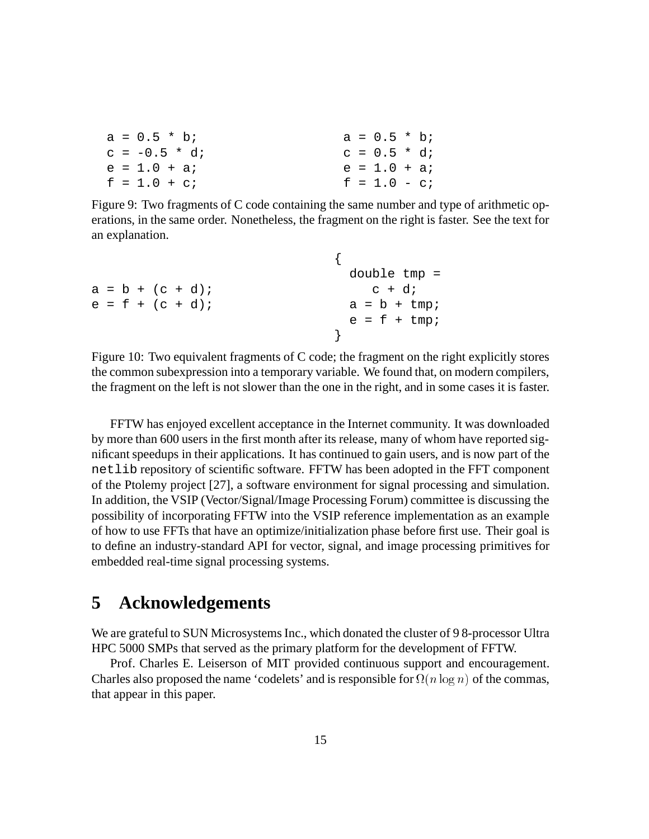|  | $a = 0.5 * bi$ |  | $a = 0.5 * b$ ; |  |
|--|----------------|--|-----------------|--|
|  | $c = -0.5 * d$ |  | $c = 0.5 * d$   |  |
|  | $e = 1.0 + ai$ |  | $e = 1.0 + ai$  |  |
|  | $f = 1.0 + ci$ |  | $f = 1.0 - ci$  |  |

Figure 9: Two fragments of C code containing the same number and type of arithmetic operations, in the same order. Nonetheless, the fragment on the right is faster. See the text for an explanation.

|                    | double $tmp =$        |
|--------------------|-----------------------|
| $a = b + (c + d)i$ | $c + di$              |
| $e = f + (c + d)i$ | $a = b + \text{tmp};$ |
|                    | $e = f + \text{tmp};$ |
|                    |                       |
|                    |                       |

Figure 10: Two equivalent fragments of C code; the fragment on the right explicitly stores the common subexpression into a temporary variable. We found that, on modern compilers, the fragment on the left is not slower than the one in the right, and in some cases it is faster.

FFTW has enjoyed excellent acceptance in the Internet community. It was downloaded by more than 600 users in the first month after its release, many of whom have reported significant speedups in their applications. It has continued to gain users, and is now part of the netlib repository of scientific software. FFTW has been adopted in the FFT component of the Ptolemy project [27], a software environment for signal processing and simulation. In addition, the VSIP (Vector/Signal/Image Processing Forum) committee is discussing the possibility of incorporating FFTW into the VSIP reference implementation as an example of how to use FFTs that have an optimize/initialization phase before first use. Their goal is to define an industry-standard API for vector, signal, and image processing primitives for embedded real-time signal processing systems.

### **5 Acknowledgements**

We are grateful to SUN Microsystems Inc., which donated the cluster of 98-processor Ultra HPC 5000 SMPs that served as the primary platform for the development of FFTW.

Prof. Charles E. Leiserson of MIT provided continuous support and encouragement. Charles also proposed the name 'codelets' and is responsible for  $\Omega(n \log n)$  of the commas, that appear in this paper.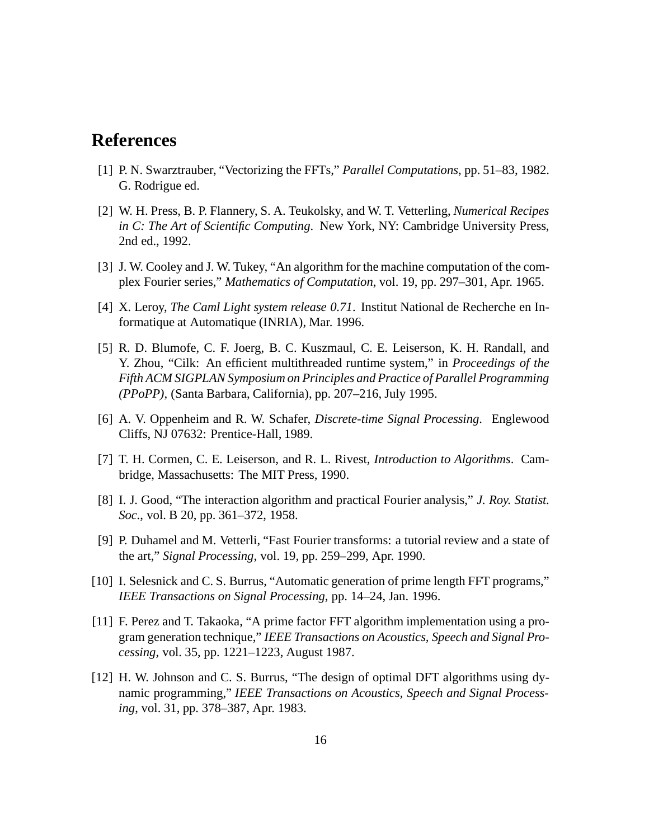## **References**

- [1] P. N. Swarztrauber, "Vectorizing the FFTs," *Parallel Computations*, pp. 51–83, 1982. G. Rodrigue ed.
- [2] W. H. Press, B. P. Flannery, S. A. Teukolsky, and W. T. Vetterling, *Numerical Recipes in C: The Art of Scientific Computing*. New York, NY: Cambridge University Press, 2nd ed., 1992.
- [3] J. W. Cooley and J. W. Tukey, "An algorithm for the machine computation of the complex Fourier series," *Mathematics of Computation*, vol. 19, pp. 297–301, Apr. 1965.
- [4] X. Leroy, *The Caml Light system release 0.71*. Institut National de Recherche en Informatique at Automatique (INRIA), Mar. 1996.
- [5] R. D. Blumofe, C. F. Joerg, B. C. Kuszmaul, C. E. Leiserson, K. H. Randall, and Y. Zhou, "Cilk: An efficient multithreaded runtime system," in *Proceedings of the Fifth ACM SIGPLAN Symposium on Principles and Practice of Parallel Programming (PPoPP)*, (Santa Barbara, California), pp. 207–216, July 1995.
- [6] A. V. Oppenheim and R. W. Schafer, *Discrete-time Signal Processing*. Englewood Cliffs, NJ 07632: Prentice-Hall, 1989.
- [7] T. H. Cormen, C. E. Leiserson, and R. L. Rivest, *Introduction to Algorithms*. Cambridge, Massachusetts: The MIT Press, 1990.
- [8] I. J. Good, "The interaction algorithm and practical Fourier analysis," *J. Roy. Statist. Soc.*, vol. B 20, pp. 361–372, 1958.
- [9] P. Duhamel and M. Vetterli, "Fast Fourier transforms: a tutorial review and a state of the art," *Signal Processing*, vol. 19, pp. 259–299, Apr. 1990.
- [10] I. Selesnick and C. S. Burrus, "Automatic generation of prime length FFT programs," *IEEE Transactions on Signal Processing*, pp. 14–24, Jan. 1996.
- [11] F. Perez and T. Takaoka, "A prime factor FFT algorithm implementation using a program generation technique," *IEEE Transactions on Acoustics, Speech and Signal Processing*, vol. 35, pp. 1221–1223, August 1987.
- [12] H. W. Johnson and C. S. Burrus, "The design of optimal DFT algorithms using dynamic programming," *IEEE Transactions on Acoustics, Speech and Signal Processing*, vol. 31, pp. 378–387, Apr. 1983.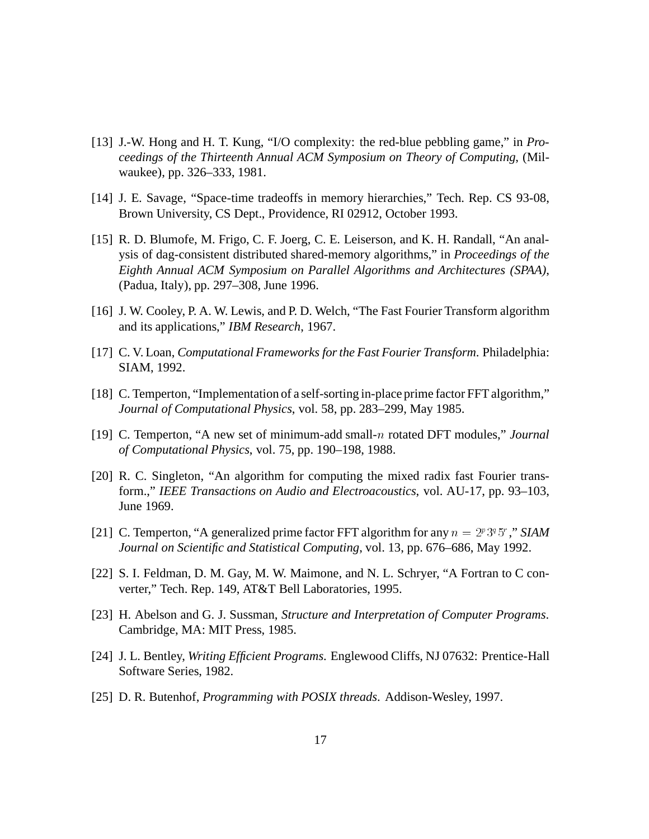- [13] J.-W. Hong and H. T. Kung, "I/O complexity: the red-blue pebbling game," in *Proceedings of the Thirteenth Annual ACM Symposium on Theory of Computing*, (Milwaukee), pp. 326–333, 1981.
- [14] J. E. Savage, "Space-time tradeoffs in memory hierarchies," Tech. Rep. CS 93-08, Brown University, CS Dept., Providence, RI 02912, October 1993.
- [15] R. D. Blumofe, M. Frigo, C. F. Joerg, C. E. Leiserson, and K. H. Randall, "An analysis of dag-consistent distributed shared-memory algorithms," in *Proceedings of the Eighth Annual ACM Symposium on Parallel Algorithms and Architectures (SPAA)*, (Padua, Italy), pp. 297–308, June 1996.
- [16] J. W. Cooley, P. A. W. Lewis, and P. D. Welch, "The Fast Fourier Transform algorithm and its applications," *IBM Research*, 1967.
- [17] C. V. Loan, *Computational Frameworks for the Fast Fourier Transform*. Philadelphia: SIAM, 1992.
- [18] C. Temperton, "Implementation of a self-sorting in-place prime factor FFT algorithm," *Journal of Computational Physics*, vol. 58, pp. 283–299, May 1985.
- [19] C. Temperton, "A new set of minimum-add small-<sup>n</sup> rotated DFT modules," *Journal of Computational Physics*, vol. 75, pp. 190–198, 1988.
- [20] R. C. Singleton, "An algorithm for computing the mixed radix fast Fourier transform.," *IEEE Transactions on Audio and Electroacoustics*, vol. AU-17, pp. 93–103, June 1969.
- [21] C. Temperton, "A generalized prime factor FFT algorithm for any  $n = 2<sup>p</sup>3<sup>q</sup>5<sup>r</sup>$ ," *SIAM Journal on Scientific and Statistical Computing*, vol. 13, pp. 676–686, May 1992.
- [22] S. I. Feldman, D. M. Gay, M. W. Maimone, and N. L. Schryer, "A Fortran to C converter," Tech. Rep. 149, AT&T Bell Laboratories, 1995.
- [23] H. Abelson and G. J. Sussman, *Structure and Interpretation of Computer Programs*. Cambridge, MA: MIT Press, 1985.
- [24] J. L. Bentley, *Writing Efficient Programs*. Englewood Cliffs, NJ 07632: Prentice-Hall Software Series, 1982.
- [25] D. R. Butenhof, *Programming with POSIX threads*. Addison-Wesley, 1997.